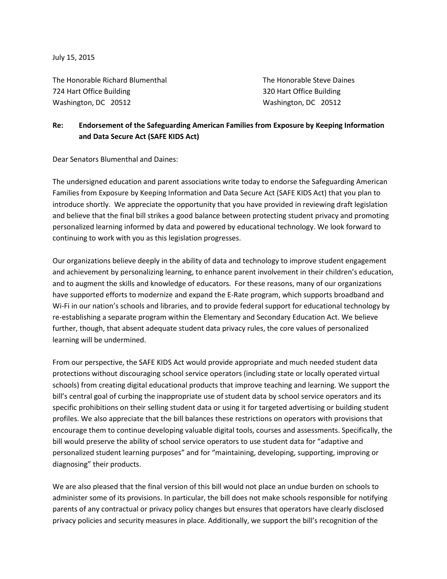July 15, 2015

The Honorable Richard Blumenthal The Honorable Steve Daines 724 Hart Office Building 320 Hart Office Building Washington, DC 20512 Washington, DC 20512

## **Re: Endorsement of the Safeguarding American Families from Exposure by Keeping Information and Data Secure Act (SAFE KIDS Act)**

Dear Senators Blumenthal and Daines:

The undersigned education and parent associations write today to endorse the Safeguarding American Families from Exposure by Keeping Information and Data Secure Act (SAFE KIDS Act) that you plan to introduce shortly. We appreciate the opportunity that you have provided in reviewing draft legislation and believe that the final bill strikes a good balance between protecting student privacy and promoting personalized learning informed by data and powered by educational technology. We look forward to continuing to work with you as this legislation progresses.

Our organizations believe deeply in the ability of data and technology to improve student engagement and achievement by personalizing learning, to enhance parent involvement in their children's education, and to augment the skills and knowledge of educators. For these reasons, many of our organizations have supported efforts to modernize and expand the E-Rate program, which supports broadband and Wi-Fi in our nation's schools and libraries, and to provide federal support for educational technology by re-establishing a separate program within the Elementary and Secondary Education Act. We believe further, though, that absent adequate student data privacy rules, the core values of personalized learning will be undermined.

From our perspective, the SAFE KIDS Act would provide appropriate and much needed student data protections without discouraging school service operators (including state or locally operated virtual schools) from creating digital educational products that improve teaching and learning. We support the bill's central goal of curbing the inappropriate use of student data by school service operators and its specific prohibitions on their selling student data or using it for targeted advertising or building student profiles. We also appreciate that the bill balances these restrictions on operators with provisions that encourage them to continue developing valuable digital tools, courses and assessments. Specifically, the bill would preserve the ability of school service operators to use student data for "adaptive and personalized student learning purposes" and for "maintaining, developing, supporting, improving or diagnosing" their products.

We are also pleased that the final version of this bill would not place an undue burden on schools to administer some of its provisions. In particular, the bill does not make schools responsible for notifying parents of any contractual or privacy policy changes but ensures that operators have clearly disclosed privacy policies and security measures in place. Additionally, we support the bill's recognition of the